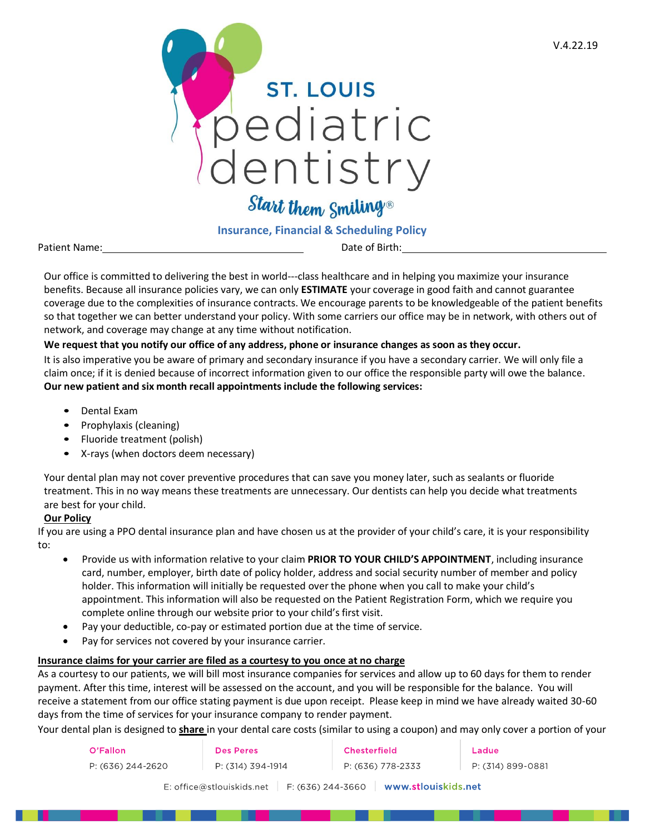

Start them Smiling®

# **Insurance, Financial & Scheduling Policy**

Patient Name:  $\qquad \qquad$  Date of Birth:

Our office is committed to delivering the best in world---class healthcare and in helping you maximize your insurance benefits. Because all insurance policies vary, we can only **ESTIMATE** your coverage in good faith and cannot guarantee coverage due to the complexities of insurance contracts. We encourage parents to be knowledgeable of the patient benefits so that together we can better understand your policy. With some carriers our office may be in network, with others out of network, and coverage may change at any time without notification.

## **We request that you notify our office of any address, phone or insurance changes as soon as they occur.**

It is also imperative you be aware of primary and secondary insurance if you have a secondary carrier. We will only file a claim once; if it is denied because of incorrect information given to our office the responsible party will owe the balance. **Our new patient and six month recall appointments include the following services:** 

- Dental Exam
- Prophylaxis (cleaning)
- Fluoride treatment (polish)
- X-rays (when doctors deem necessary)

Your dental plan may not cover preventive procedures that can save you money later, such as sealants or fluoride treatment. This in no way means these treatments are unnecessary. Our dentists can help you decide what treatments are best for your child.

## **Our Policy**

If you are using a PPO dental insurance plan and have chosen us at the provider of your child's care, it is your responsibility to:

- Provide us with information relative to your claim **PRIOR TO YOUR CHILD'S APPOINTMENT**, including insurance card, number, employer, birth date of policy holder, address and social security number of member and policy holder. This information will initially be requested over the phone when you call to make your child's appointment. This information will also be requested on the Patient Registration Form, which we require you complete online through our website prior to your child's first visit.
- Pay your deductible, co-pay or estimated portion due at the time of service.
- Pay for services not covered by your insurance carrier.

## **Insurance claims for your carrier are filed as a courtesy to you once at no charge**

As a courtesy to our patients, we will bill most insurance companies for services and allow up to 60 days for them to render payment. After this time, interest will be assessed on the account, and you will be responsible for the balance. You will receive a statement from our office stating payment is due upon receipt. Please keep in mind we have already waited 30-60 days from the time of services for your insurance company to render payment.

Your dental plan is designed to **share** in your dental care costs (similar to using a coupon) and may only cover a portion of your

| O'Fallon                                                                | Des Peres         | <b>Chesterfield</b> | Ladue             |  |  |
|-------------------------------------------------------------------------|-------------------|---------------------|-------------------|--|--|
| P: (636) 244-2620                                                       | P: (314) 394-1914 | P: (636) 778-2333   | P: (314) 899-0881 |  |  |
| F: (636) 244-3660<br>∣ www.stlouiskids.net<br>E: office@stlouiskids.net |                   |                     |                   |  |  |